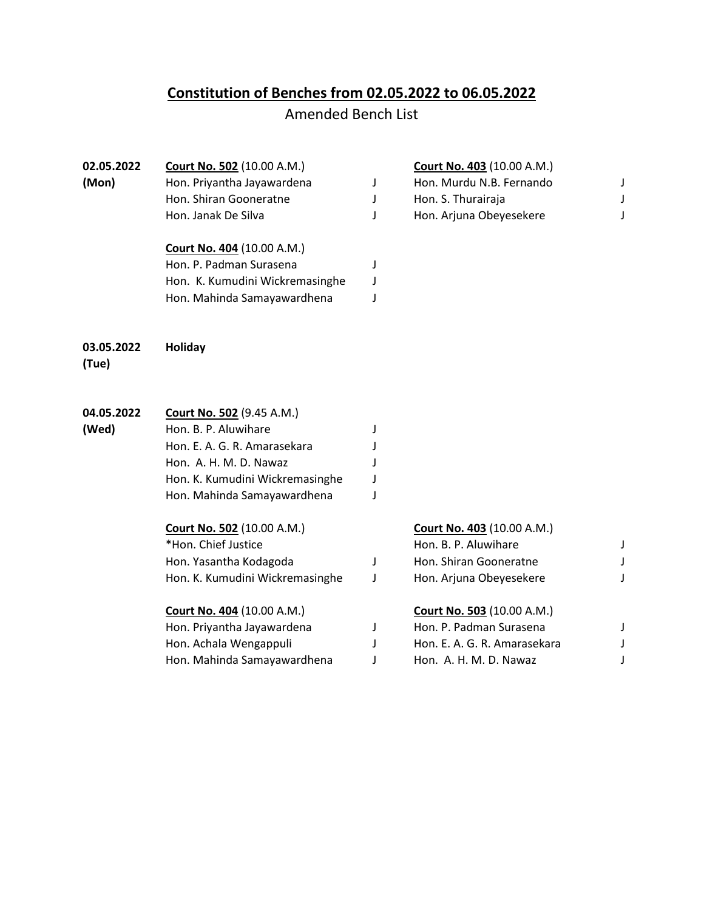## **Constitution of Benches from 02.05.2022 to 06.05.2022**

## Amended Bench List

| 02.05.2022<br>(Mon) | <b>Court No. 502 (10.00 A.M.)</b><br>Hon. Priyantha Jayawardena<br>Hon. Shiran Gooneratne<br>Hon. Janak De Silva<br><b>Court No. 404 (10.00 A.M.)</b><br>Hon. P. Padman Surasena | J<br>J<br>J<br>J | <b>Court No. 403 (10.00 A.M.)</b><br>Hon. Murdu N.B. Fernando<br>Hon. S. Thurairaja<br>Hon. Arjuna Obeyesekere | J<br>J<br>J |
|---------------------|----------------------------------------------------------------------------------------------------------------------------------------------------------------------------------|------------------|----------------------------------------------------------------------------------------------------------------|-------------|
|                     | Hon. K. Kumudini Wickremasinghe                                                                                                                                                  | J                |                                                                                                                |             |
|                     | Hon. Mahinda Samayawardhena                                                                                                                                                      | J                |                                                                                                                |             |
| 03.05.2022<br>(Tue) | Holiday                                                                                                                                                                          |                  |                                                                                                                |             |
| 04.05.2022          | <b>Court No. 502 (9.45 A.M.)</b>                                                                                                                                                 |                  |                                                                                                                |             |
| (Wed)               | Hon. B. P. Aluwihare                                                                                                                                                             | J                |                                                                                                                |             |
|                     | Hon. E. A. G. R. Amarasekara                                                                                                                                                     |                  |                                                                                                                |             |
|                     | Hon. A. H. M. D. Nawaz                                                                                                                                                           |                  |                                                                                                                |             |
|                     | Hon. K. Kumudini Wickremasinghe                                                                                                                                                  |                  |                                                                                                                |             |
|                     | Hon. Mahinda Samayawardhena                                                                                                                                                      |                  |                                                                                                                |             |
|                     | <b>Court No. 502 (10.00 A.M.)</b>                                                                                                                                                |                  | Court No. 403 (10.00 A.M.)                                                                                     |             |
|                     | *Hon. Chief Justice                                                                                                                                                              |                  | Hon. B. P. Aluwihare                                                                                           | J           |
|                     | Hon. Yasantha Kodagoda                                                                                                                                                           | J                | Hon. Shiran Gooneratne                                                                                         | J           |
|                     | Hon. K. Kumudini Wickremasinghe                                                                                                                                                  | J                | Hon. Arjuna Obeyesekere                                                                                        | J           |
|                     | Court No. 404 (10.00 A.M.)                                                                                                                                                       |                  | <b>Court No. 503 (10.00 A.M.)</b>                                                                              |             |
|                     | Hon. Priyantha Jayawardena                                                                                                                                                       | J                | Hon. P. Padman Surasena                                                                                        | J           |
|                     | Hon. Achala Wengappuli                                                                                                                                                           | J                | Hon. E. A. G. R. Amarasekara                                                                                   | J           |
|                     | Hon. Mahinda Samayawardhena                                                                                                                                                      | J                | Hon. A. H. M. D. Nawaz                                                                                         | J           |